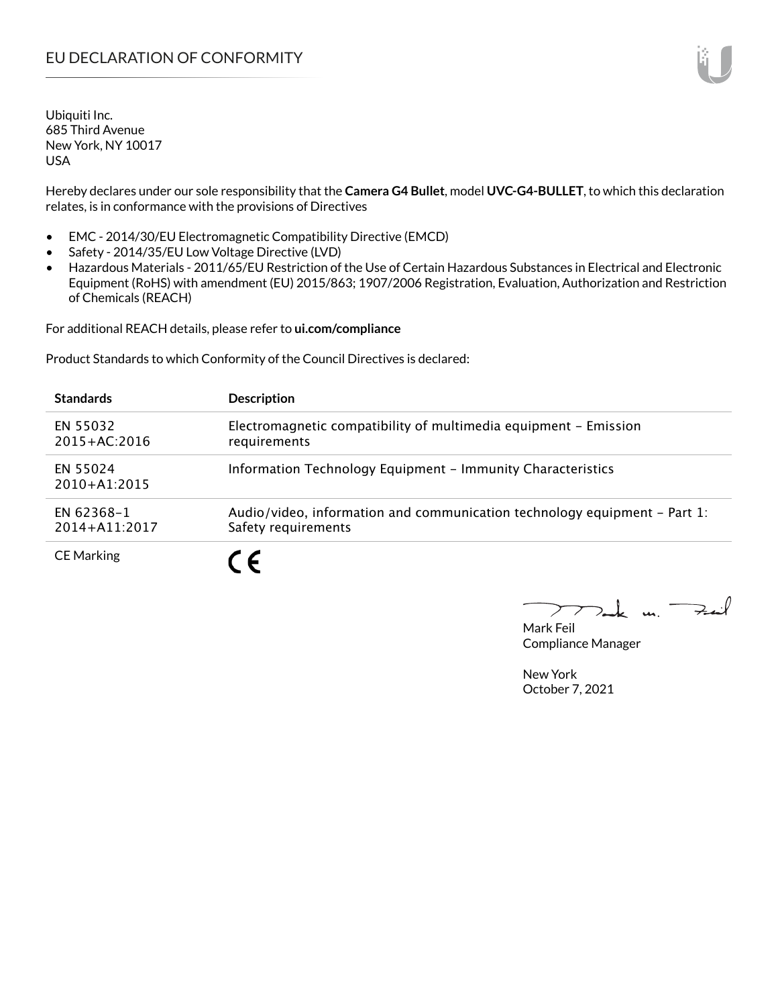Hereby declares under our sole responsibility that the **Camera G4 Bullet**, model **UVC-G4-BULLET**, to which this declaration relates, is in conformance with the provisions of Directives

- EMC 2014/30/EU Electromagnetic Compatibility Directive (EMCD)
- Safety 2014/35/EU Low Voltage Directive (LVD)
- Hazardous Materials 2011/65/EU Restriction of the Use of Certain Hazardous Substances in Electrical and Electronic Equipment (RoHS) with amendment (EU) 2015/863; 1907/2006 Registration, Evaluation, Authorization and Restriction of Chemicals (REACH)

For additional REACH details, please refer to **ui.com/compliance**

Product Standards to which Conformity of the Council Directives is declared:

| <b>Standards</b>                | <b>Description</b>                                                                               |
|---------------------------------|--------------------------------------------------------------------------------------------------|
| EN 55032<br>$2015 + AC:2016$    | Electromagnetic compatibility of multimedia equipment - Emission<br>requirements                 |
| EN 55024<br>$2010+A1:2015$      | Information Technology Equipment - Immunity Characteristics                                      |
| EN 62368-1<br>$2014 + A11:2017$ | Audio/video, information and communication technology equipment – Part 1:<br>Safety requirements |
| <b>CE Marking</b>               | ( F                                                                                              |

 $k$  un  $\rightarrow$  $\triangleright$  $\sum_{n=1}^{\infty}$ 

Mark Feil Compliance Manager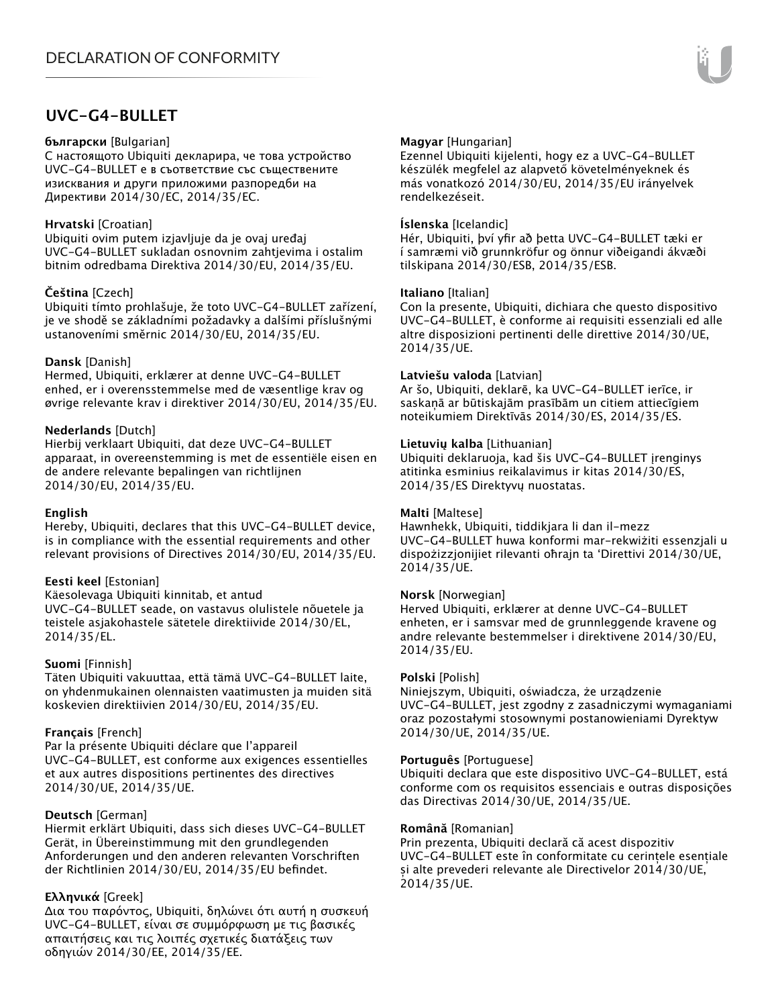# **UVC-G4-BULLET**

#### **български** [Bulgarian]

С настоящото Ubiquiti декларира, че това устройство UVC-G4-BULLET е в съответствие със съществените изисквания и други приложими разпоредби на Директиви 2014/30/ЕС, 2014/35/ЕС.

# **Hrvatski** [Croatian]

Ubiquiti ovim putem izjavljuje da je ovaj uređaj UVC-G4-BULLET sukladan osnovnim zahtjevima i ostalim bitnim odredbama Direktiva 2014/30/EU, 2014/35/EU.

# **Čeština** [Czech]

Ubiquiti tímto prohlašuje, že toto UVC-G4-BULLET zařízení, je ve shodě se základními požadavky a dalšími příslušnými ustanoveními směrnic 2014/30/EU, 2014/35/EU.

### **Dansk** [Danish]

Hermed, Ubiquiti, erklærer at denne UVC-G4-BULLET enhed, er i overensstemmelse med de væsentlige krav og øvrige relevante krav i direktiver 2014/30/EU, 2014/35/EU.

### **Nederlands** [Dutch]

Hierbij verklaart Ubiquiti, dat deze UVC-G4-BULLET apparaat, in overeenstemming is met de essentiële eisen en de andere relevante bepalingen van richtlijnen 2014/30/EU, 2014/35/EU.

#### **English**

Hereby, Ubiquiti, declares that this UVC-G4-BULLET device, is in compliance with the essential requirements and other relevant provisions of Directives 2014/30/EU, 2014/35/EU.

# **Eesti keel** [Estonian]

Käesolevaga Ubiquiti kinnitab, et antud UVC-G4-BULLET seade, on vastavus olulistele nõuetele ja teistele asjakohastele sätetele direktiivide 2014/30/EL, 2014/35/EL.

# **Suomi** [Finnish]

Täten Ubiquiti vakuuttaa, että tämä UVC-G4-BULLET laite, on yhdenmukainen olennaisten vaatimusten ja muiden sitä koskevien direktiivien 2014/30/EU, 2014/35/EU.

#### **Français** [French]

Par la présente Ubiquiti déclare que l'appareil UVC-G4-BULLET, est conforme aux exigences essentielles et aux autres dispositions pertinentes des directives 2014/30/UE, 2014/35/UE.

# **Deutsch** [German]

Hiermit erklärt Ubiquiti, dass sich dieses UVC-G4-BULLET Gerät, in Übereinstimmung mit den grundlegenden Anforderungen und den anderen relevanten Vorschriften der Richtlinien 2014/30/EU, 2014/35/EU befindet.

# **Ελληνικά** [Greek]

Δια του παρόντος, Ubiquiti, δηλώνει ότι αυτή η συσκευή UVC-G4-BULLET, είναι σε συμμόρφωση με τις βασικές απαιτήσεις και τις λοιπές σχετικές διατάξεις των οδηγιών 2014/30/EE, 2014/35/EE.

### **Magyar** [Hungarian]

Ezennel Ubiquiti kijelenti, hogy ez a UVC-G4-BULLET készülék megfelel az alapvető követelményeknek és más vonatkozó 2014/30/EU, 2014/35/EU irányelvek rendelkezéseit.

### **Íslenska** [Icelandic]

Hér, Ubiquiti, því yfir að þetta UVC-G4-BULLET tæki er í samræmi við grunnkröfur og önnur viðeigandi ákvæði tilskipana 2014/30/ESB, 2014/35/ESB.

#### **Italiano** [Italian]

Con la presente, Ubiquiti, dichiara che questo dispositivo UVC-G4-BULLET, è conforme ai requisiti essenziali ed alle altre disposizioni pertinenti delle direttive 2014/30/UE, 2014/35/UE.

#### **Latviešu valoda** [Latvian]

Ar šo, Ubiquiti, deklarē, ka UVC-G4-BULLET ierīce, ir saskaņā ar būtiskajām prasībām un citiem attiecīgiem noteikumiem Direktīvās 2014/30/ES, 2014/35/ES.

### **Lietuvių kalba** [Lithuanian]

Ubiquiti deklaruoja, kad šis UVC-G4-BULLET įrenginys atitinka esminius reikalavimus ir kitas 2014/30/ES, 2014/35/ES Direktyvų nuostatas.

#### **Malti** [Maltese]

Hawnhekk, Ubiquiti, tiddikjara li dan il-mezz UVC-G4-BULLET huwa konformi mar-rekwiżiti essenzjali u dispożizzjonijiet rilevanti oħrajn ta 'Direttivi 2014/30/UE, 2014/35/UE.

#### **Norsk** [Norwegian]

Herved Ubiquiti, erklærer at denne UVC-G4-BULLET enheten, er i samsvar med de grunnleggende kravene og andre relevante bestemmelser i direktivene 2014/30/EU, 2014/35/EU.

#### **Polski** [Polish]

Niniejszym, Ubiquiti, oświadcza, że urządzenie UVC-G4-BULLET, jest zgodny z zasadniczymi wymaganiami oraz pozostałymi stosownymi postanowieniami Dyrektyw 2014/30/UE, 2014/35/UE.

#### **Português** [Portuguese]

Ubiquiti declara que este dispositivo UVC-G4-BULLET, está conforme com os requisitos essenciais e outras disposições das Directivas 2014/30/UE, 2014/35/UE.

#### **Română** [Romanian]

Prin prezenta, Ubiquiti declară că acest dispozitiv UVC-G4-BULLET este în conformitate cu cerințele esențiale și alte prevederi relevante ale Directivelor 2014/30/UE, 2014/35/UE.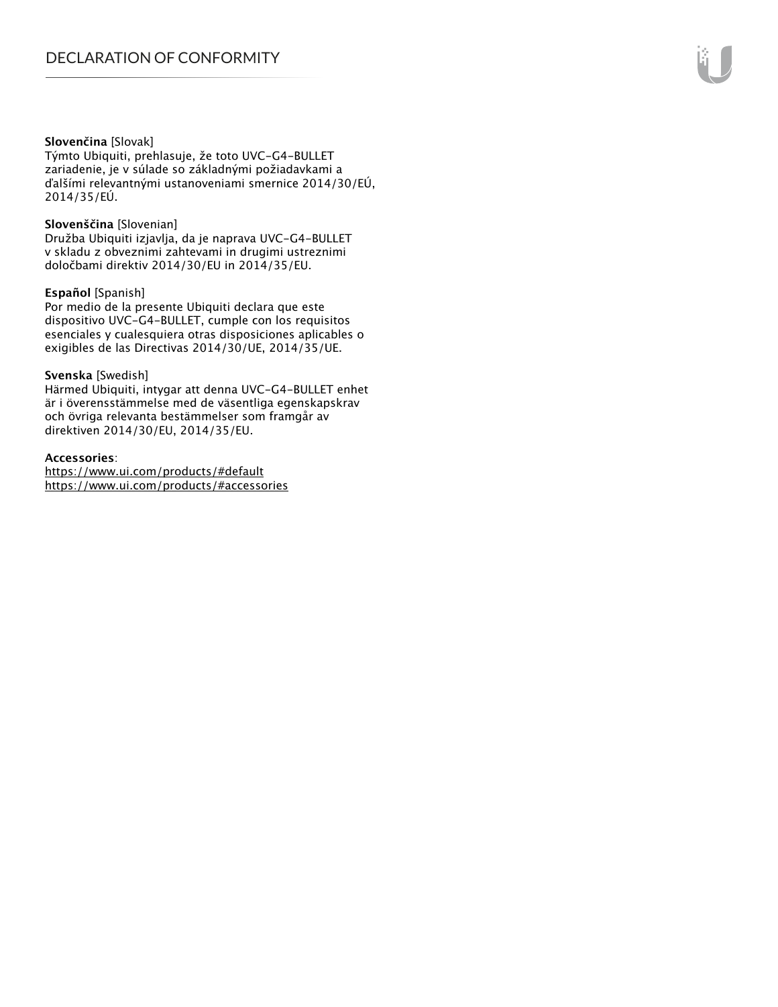# **Slovenčina** [Slovak]

Týmto Ubiquiti, prehlasuje, že toto UVC-G4-BULLET zariadenie, je v súlade so základnými požiadavkami a ďalšími relevantnými ustanoveniami smernice 2014/30/EÚ, 2014/35/EÚ.

#### **Slovenščina** [Slovenian]

Družba Ubiquiti izjavlja, da je naprava UVC-G4-BULLET v skladu z obveznimi zahtevami in drugimi ustreznimi določbami direktiv 2014/30/EU in 2014/35/EU.

#### **Español** [Spanish]

Por medio de la presente Ubiquiti declara que este dispositivo UVC-G4-BULLET, cumple con los requisitos esenciales y cualesquiera otras disposiciones aplicables o exigibles de las Directivas 2014/30/UE, 2014/35/UE.

#### **Svenska** [Swedish]

Härmed Ubiquiti, intygar att denna UVC-G4-BULLET enhet är i överensstämmelse med de väsentliga egenskapskrav och övriga relevanta bestämmelser som framgår av direktiven 2014/30/EU, 2014/35/EU.

#### **Accessories**:

https://www.ui.com/products/#default https://www.ui.com/products/#accessories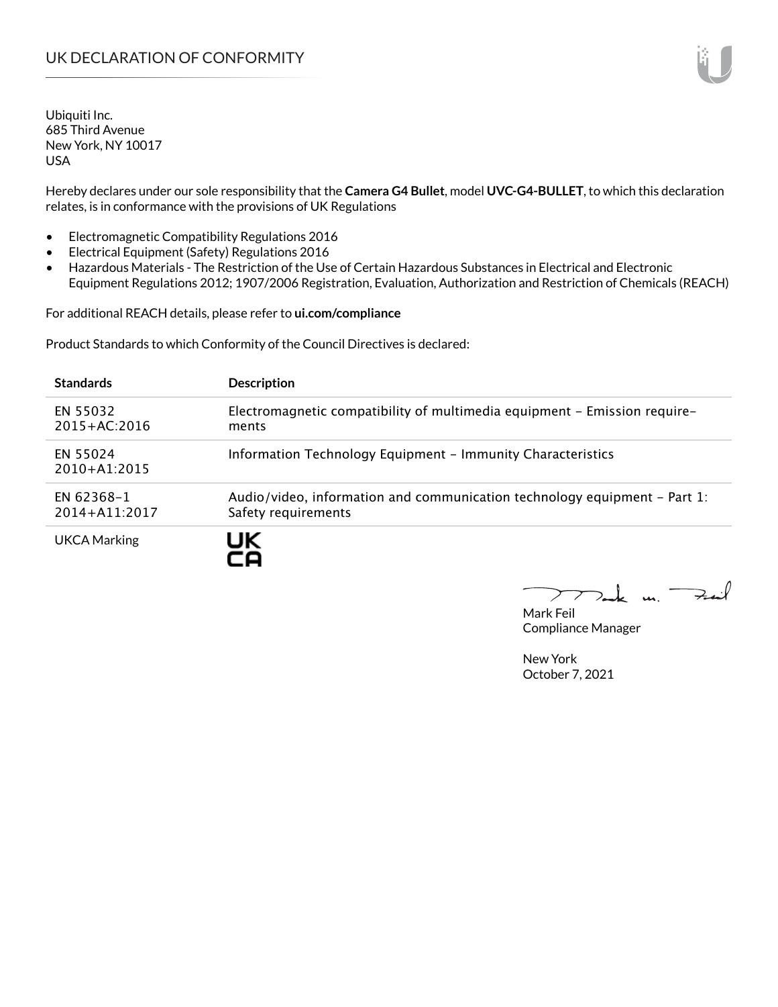Hereby declares under our sole responsibility that the **Camera G4 Bullet**, model **UVC-G4-BULLET**, to which this declaration relates, is in conformance with the provisions of UK Regulations

- Electromagnetic Compatibility Regulations 2016
- Electrical Equipment (Safety) Regulations 2016
- Hazardous Materials The Restriction of the Use of Certain Hazardous Substances in Electrical and Electronic Equipment Regulations 2012; 1907/2006 Registration, Evaluation, Authorization and Restriction of Chemicals (REACH)

For additional REACH details, please refer to **ui.com/compliance**

Product Standards to which Conformity of the Council Directives is declared:

| <b>Standards</b>                | <b>Description</b>                                                                               |
|---------------------------------|--------------------------------------------------------------------------------------------------|
| EN 55032<br>$2015 + AC:2016$    | Electromagnetic compatibility of multimedia equipment - Emission require-<br>ments               |
| EN 55024<br>$2010+A1:2015$      | Information Technology Equipment - Immunity Characteristics                                      |
| EN 62368-1<br>$2014 + A11:2017$ | Audio/video, information and communication technology equipment – Part 1:<br>Safety requirements |
| <b>UKCA Marking</b>             |                                                                                                  |

 $u_1$   $\rightarrow$ 

Mark Feil Compliance Manager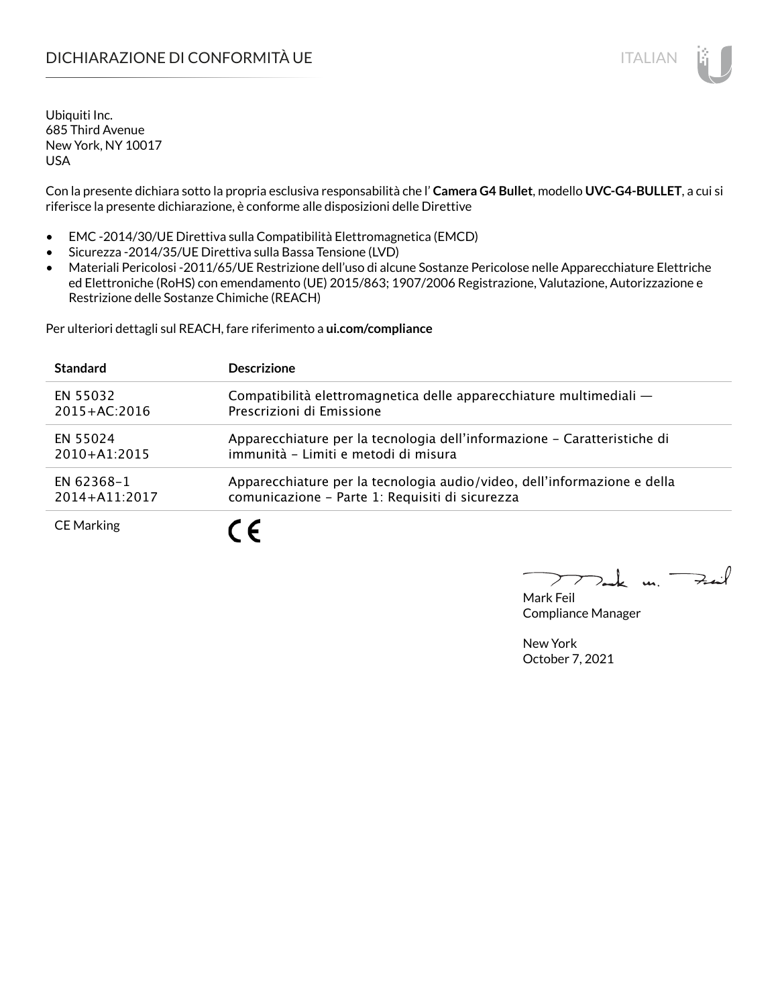# DICHIARAZIONE DI CONFORMITÀ UE ITALIAN ITALIAN

Ubiquiti Inc. 685 Third Avenue New York, NY 10017 USA

Con la presente dichiara sotto la propria esclusiva responsabilità che l' **Camera G4 Bullet**, modello **UVC-G4-BULLET**, a cui si riferisce la presente dichiarazione, è conforme alle disposizioni delle Direttive

- EMC -2014/30/UE Direttiva sulla Compatibilità Elettromagnetica (EMCD)
- Sicurezza -2014/35/UE Direttiva sulla Bassa Tensione (LVD)
- Materiali Pericolosi -2011/65/UE Restrizione dell'uso di alcune Sostanze Pericolose nelle Apparecchiature Elettriche ed Elettroniche (RoHS) con emendamento (UE) 2015/863; 1907/2006 Registrazione, Valutazione, Autorizzazione e Restrizione delle Sostanze Chimiche (REACH)

Per ulteriori dettagli sul REACH, fare riferimento a **ui.com/compliance**

| <b>Standard</b>   | <b>Descrizione</b>                                                       |
|-------------------|--------------------------------------------------------------------------|
| EN 55032          | Compatibilità elettromagnetica delle apparecchiature multimediali -      |
| $2015 + AC:2016$  | Prescrizioni di Emissione                                                |
| EN 55024          | Apparecchiature per la tecnologia dell'informazione - Caratteristiche di |
| $2010+A1:2015$    | immunità - Limiti e metodi di misura                                     |
| EN 62368-1        | Apparecchiature per la tecnologia audio/video, dell'informazione e della |
| 2014+A11:2017     | comunicazione - Parte 1: Requisiti di sicurezza                          |
| <b>CE Marking</b> |                                                                          |

m. Fail

Mark Feil Compliance Manager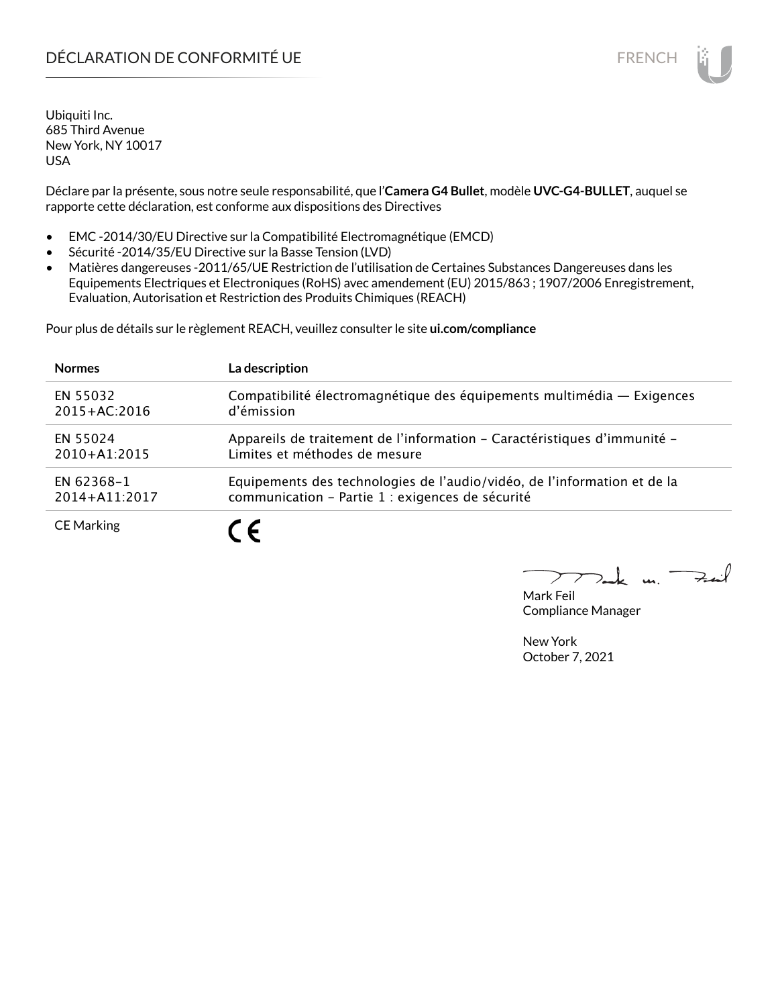# DÉCLARATION DE CONFORMITÉ UE EN ENCHANGEMENT DE CONFORMITÉ UNE ENCHANGEMENT DE CONFORMITÉ UNE ENCHANGEMENT DE

Ubiquiti Inc. 685 Third Avenue New York, NY 10017 USA

Déclare par la présente, sous notre seule responsabilité, que l'**Camera G4 Bullet**, modèle **UVC-G4-BULLET**, auquel se rapporte cette déclaration, est conforme aux dispositions des Directives

- EMC -2014/30/EU Directive sur la Compatibilité Electromagnétique (EMCD)
- Sécurité -2014/35/EU Directive sur la Basse Tension (LVD)
- Matières dangereuses -2011/65/UE Restriction de l'utilisation de Certaines Substances Dangereuses dans les Equipements Electriques et Electroniques (RoHS) avec amendement (EU) 2015/863 ; 1907/2006 Enregistrement, Evaluation, Autorisation et Restriction des Produits Chimiques (REACH)

Pour plus de détails sur le règlement REACH, veuillez consulter le site **ui.com/compliance**

| <b>Normes</b>     | La description                                                           |
|-------------------|--------------------------------------------------------------------------|
| EN 55032          | Compatibilité électromagnétique des équipements multimédia — Exigences   |
| $2015 + AC:2016$  | d'émission                                                               |
| EN 55024          | Appareils de traitement de l'information - Caractéristiques d'immunité - |
| $2010+A1:2015$    | Limites et méthodes de mesure                                            |
| EN 62368-1        | Equipements des technologies de l'audio/vidéo, de l'information et de la |
| 2014+A11:2017     | communication - Partie 1 : exigences de sécurité                         |
| <b>CE Marking</b> | $\overline{\phantom{a}}$                                                 |

كمنعة  $\mathbf{u}$ 

Mark Feil Compliance Manager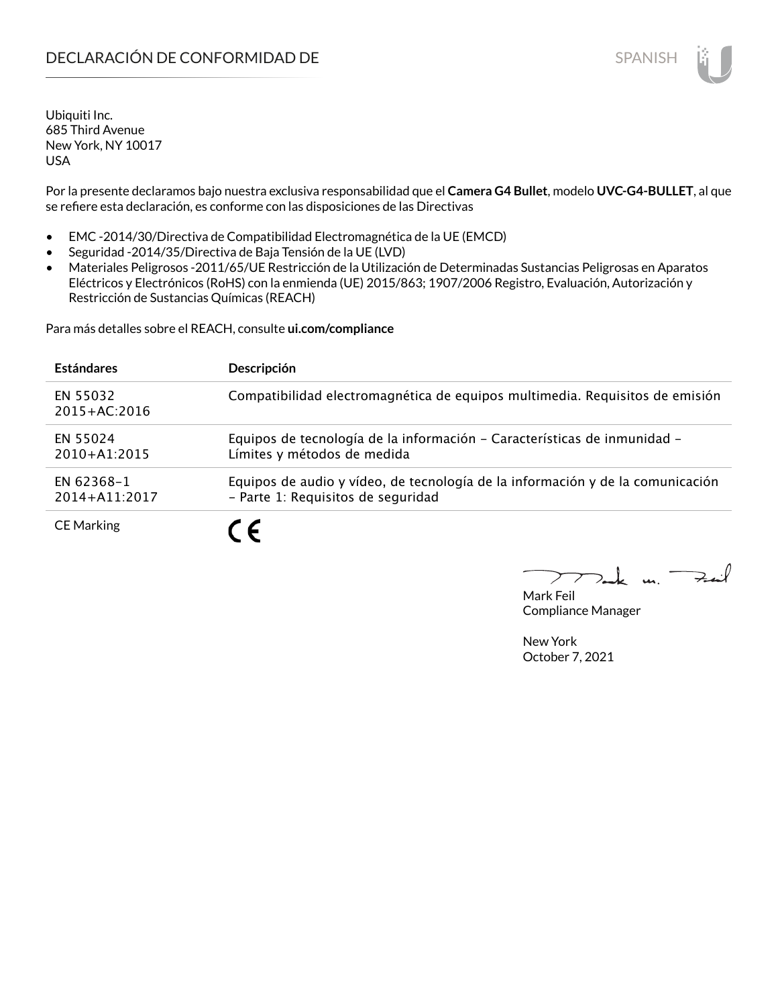Por la presente declaramos bajo nuestra exclusiva responsabilidad que el **Camera G4 Bullet**, modelo **UVC-G4-BULLET**, al que se refiere esta declaración, es conforme con las disposiciones de las Directivas

- EMC -2014/30/Directiva de Compatibilidad Electromagnética de la UE (EMCD)
- Seguridad -2014/35/Directiva de Baja Tensión de la UE (LVD)
- Materiales Peligrosos -2011/65/UE Restricción de la Utilización de Determinadas Sustancias Peligrosas en Aparatos Eléctricos y Electrónicos (RoHS) con la enmienda (UE) 2015/863; 1907/2006 Registro, Evaluación, Autorización y Restricción de Sustancias Químicas (REACH)

Para más detalles sobre el REACH, consulte **ui.com/compliance**

| <b>Estándares</b>            | Descripción                                                                                                          |
|------------------------------|----------------------------------------------------------------------------------------------------------------------|
| EN 55032<br>$2015 + AC:2016$ | Compatibilidad electromagnética de equipos multimedia. Requisitos de emisión                                         |
| EN 55024<br>$2010+A1:2015$   | Equipos de tecnología de la información - Características de inmunidad -<br>Límites y métodos de medida              |
| EN 62368-1<br>2014+A11:2017  | Equipos de audio y vídeo, de tecnología de la información y de la comunicación<br>- Parte 1: Requisitos de seguridad |
| <b>CE Marking</b>            | 7 C                                                                                                                  |

 $\mathbf{u}$ 

Mark Feil Compliance Manager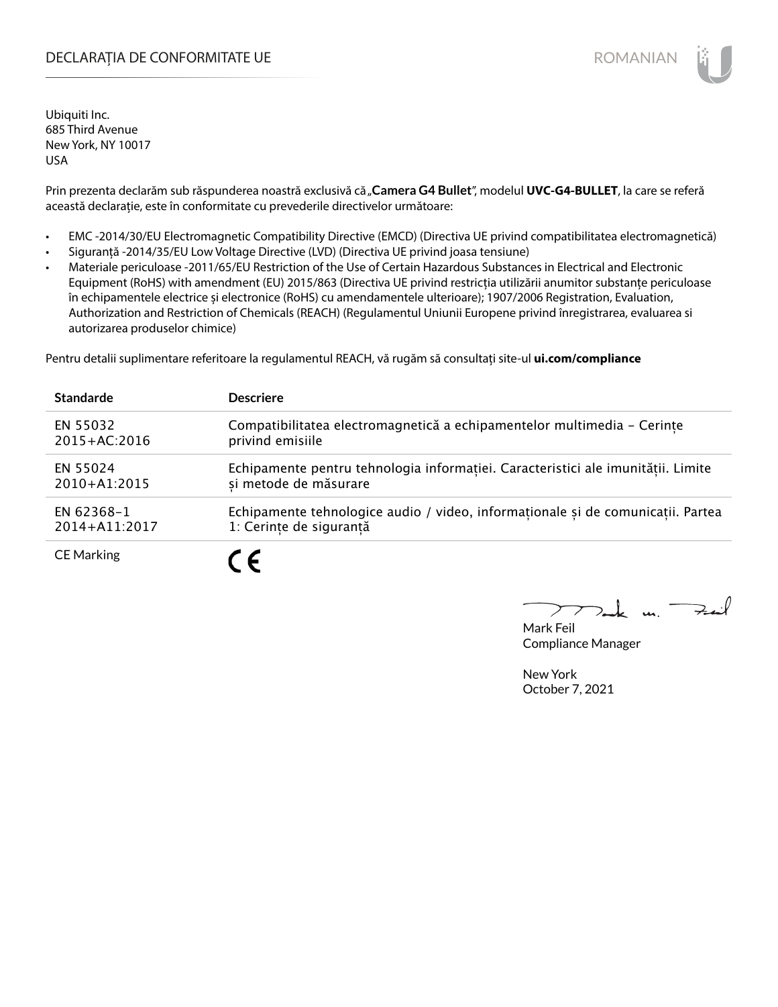# DECLARAȚIA DE CONFORMITATE UE EXTERNATION ANNO 1999 EN ANNO 1999 ROMANIAN

Ubiquiti Inc. 685 Third Avenue New York, NY 10017 USA

Prin prezenta declarăm sub răspunderea noastră exclusivă că "Camera G4 Bullet", modelul UVC-G4-BULLET, la care se referă această declarație, este în conformitate cu prevederile directivelor următoare:

- EMC -2014/30/EU Electromagnetic Compatibility Directive (EMCD) (Directiva UE privind compatibilitatea electromagnetică)
- Siguranță -2014/35/EU Low Voltage Directive (LVD) (Directiva UE privind joasa tensiune)
- Materiale periculoase -2011/65/EU Restriction of the Use of Certain Hazardous Substances in Electrical and Electronic Equipment (RoHS) with amendment (EU) 2015/863 (Directiva UE privind restricția utilizării anumitor substanțe periculoase în echipamentele electrice și electronice (RoHS) cu amendamentele ulterioare); 1907/2006 Registration, Evaluation, Authorization and Restriction of Chemicals (REACH) (Regulamentul Uniunii Europene privind înregistrarea, evaluarea si autorizarea produselor chimice)

Pentru detalii suplimentare referitoare la regulamentul REACH, vă rugăm să consultați site-ul **ui.com/compliance**

| <b>Standarde</b>  | <b>Descriere</b>                                                                 |
|-------------------|----------------------------------------------------------------------------------|
| EN 55032          | Compatibilitatea electromagnetică a echipamentelor multimedia - Cerințe          |
| $2015 + AC:2016$  | privind emisiile                                                                 |
| EN 55024          | Echipamente pentru tehnologia informației. Caracteristici ale imunității. Limite |
| 2010+A1:2015      | si metode de măsurare                                                            |
| EN 62368-1        | Echipamente tehnologice audio / video, informaționale și de comunicații. Partea  |
| 2014+A11:2017     | 1: Cerințe de siguranță                                                          |
| <b>CE Marking</b> |                                                                                  |

m. Fail

Mark Feil Compliance Manager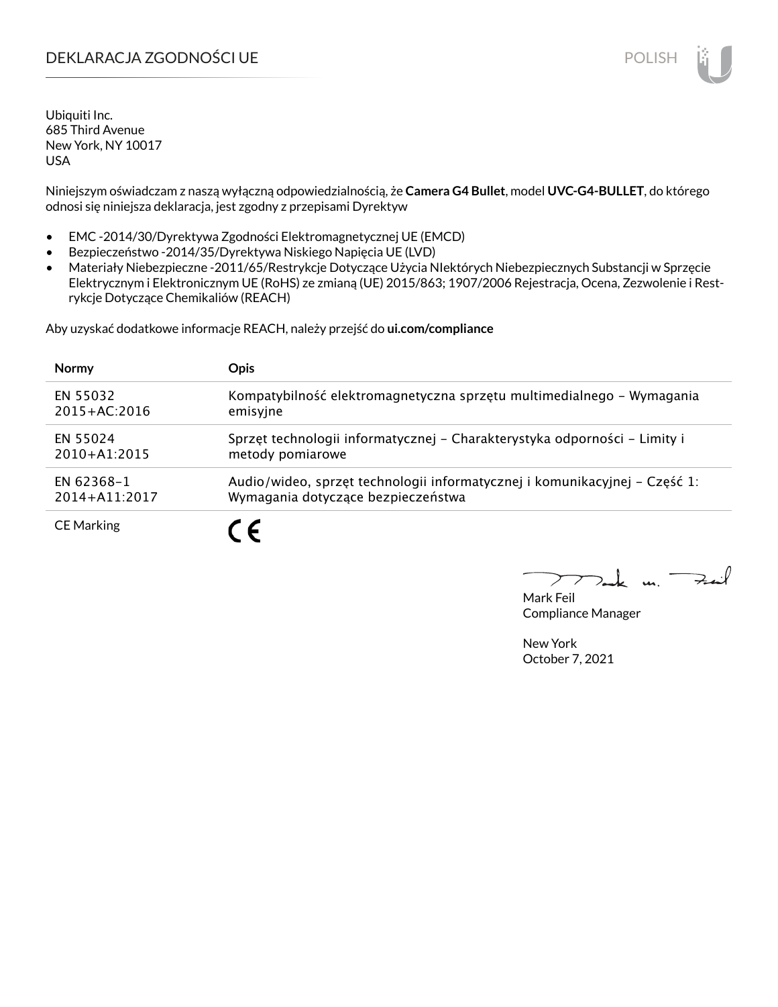# DEKLARACJA ZGODNOŚCI UE POLISH POLISH

Ubiquiti Inc. 685 Third Avenue New York, NY 10017 USA

Niniejszym oświadczam z naszą wyłączną odpowiedzialnością, że **Camera G4 Bullet**, model **UVC-G4-BULLET**, do którego odnosi się niniejsza deklaracja, jest zgodny z przepisami Dyrektyw

- EMC -2014/30/Dyrektywa Zgodności Elektromagnetycznej UE (EMCD)
- Bezpieczeństwo -2014/35/Dyrektywa Niskiego Napięcia UE (LVD)
- Materiały Niebezpieczne -2011/65/Restrykcje Dotyczące Użycia NIektórych Niebezpiecznych Substancji w Sprzęcie Elektrycznym i Elektronicznym UE (RoHS) ze zmianą (UE) 2015/863; 1907/2006 Rejestracja, Ocena, Zezwolenie i Restrykcje Dotyczące Chemikaliów (REACH)

Aby uzyskać dodatkowe informacje REACH, należy przejść do **ui.com/compliance**

| <b>Normy</b>      | <b>Opis</b>                                                                |
|-------------------|----------------------------------------------------------------------------|
| EN 55032          | Kompatybilność elektromagnetyczna sprzętu multimedialnego – Wymagania      |
| $2015 + AC:2016$  | emisyjne                                                                   |
| EN 55024          | Sprzęt technologii informatycznej – Charakterystyka odporności – Limity i  |
| $2010+A1:2015$    | metody pomiarowe                                                           |
| EN 62368-1        | Audio/wideo, sprzęt technologii informatycznej i komunikacyjnej - Część 1: |
| 2014+A11:2017     | Wymagania dotyczące bezpieczeństwa                                         |
| <b>CE Marking</b> |                                                                            |

كمنعة  $\mathbf{u}$ 

Mark Feil Compliance Manager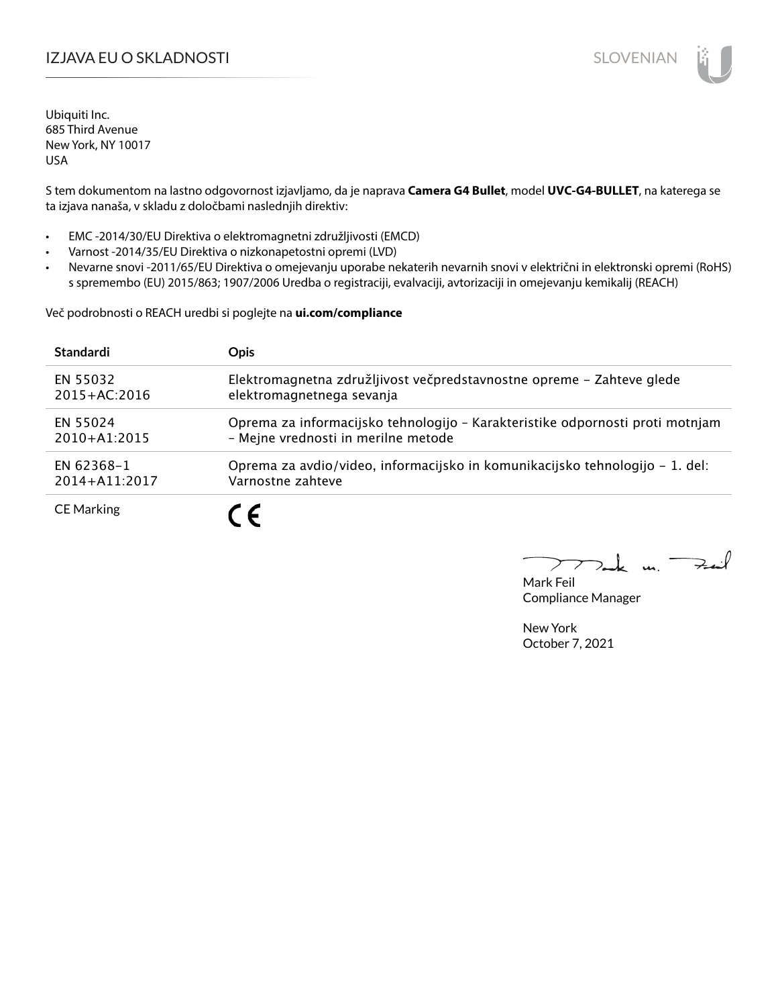# IZJAVA EU O SKLADNOSTI SLOVENIAN SLOVENIAN

Ubiquiti Inc. 685 Third Avenue New York, NY 10017 USA

S tem dokumentom na lastno odgovornost izjavljamo, da je naprava **Camera G4 Bullet**, model **UVC-G4-BULLET**, na katerega se ta izjava nanaša, v skladu z določbami naslednjih direktiv:

- EMC -2014/30/EU Direktiva o elektromagnetni združljivosti (EMCD)
- Varnost -2014/35/EU Direktiva o nizkonapetostni opremi (LVD)
- Nevarne snovi -2011/65/EU Direktiva o omejevanju uporabe nekaterih nevarnih snovi v električni in elektronski opremi (RoHS) s spremembo (EU) 2015/863; 1907/2006 Uredba o registraciji, evalvaciji, avtorizaciji in omejevanju kemikalij (REACH)

Več podrobnosti o REACH uredbi si poglejte na **ui.com/compliance**

| <b>Standardi</b>  | <b>Opis</b>                                                                   |
|-------------------|-------------------------------------------------------------------------------|
| EN 55032          | Elektromagnetna združljivost večpredstavnostne opreme - Zahteve glede         |
| $2015 + AC:2016$  | elektromagnetnega sevanja                                                     |
| EN 55024          | Oprema za informacijsko tehnologijo - Karakteristike odpornosti proti motnjam |
| $2010 + A1:2015$  | - Mejne vrednosti in merilne metode                                           |
| EN 62368-1        | Oprema za avdio/video, informacijsko in komunikacijsko tehnologijo – 1. del:  |
| 2014+A11:2017     | Varnostne zahteve                                                             |
| <b>CE Marking</b> | $\epsilon$                                                                    |

كمنعة  $\mathbf{a}$ 

Mark Feil Compliance Manager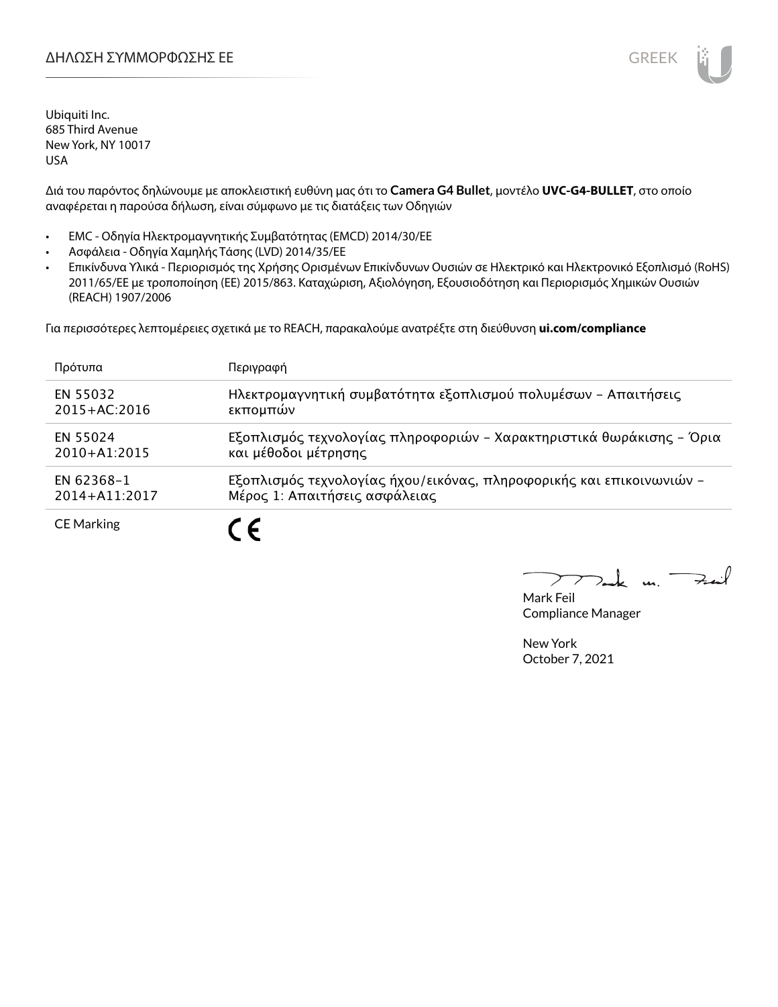Διά του παρόντος δηλώνουμε με αποκλειστική ευθύνη μας ότι το **Camera G4 Bullet**, μοντέλο **UVC-G4-BULLET**, στο οποίο αναφέρεται η παρούσα δήλωση, είναι σύμφωνο με τις διατάξεις των Οδηγιών

- EMC Οδηγία Ηλεκτρομαγνητικής Συμβατότητας (EMCD) 2014/30/ΕΕ
- Ασφάλεια Οδηγία Χαμηλής Τάσης (LVD) 2014/35/ΕΕ
- Επικίνδυνα Υλικά Περιορισμός της Χρήσης Ορισμένων Επικίνδυνων Ουσιών σε Ηλεκτρικό και Ηλεκτρονικό Εξοπλισμό (RoHS) 2011/65/ΕΕ με τροποποίηση (ΕΕ) 2015/863. Καταχώριση, Αξιολόγηση, Εξουσιοδότηση και Περιορισμός Χημικών Ουσιών (REACH) 1907/2006

Για περισσότερες λεπτομέρειες σχετικά με το REACH, παρακαλούμε ανατρέξτε στη διεύθυνση **ui.com/compliance**

| Πρότυπα           | Περιγραφή                                                            |
|-------------------|----------------------------------------------------------------------|
| EN 55032          | Ηλεκτρομαγνητική συμβατότητα εξοπλισμού πολυμέσων - Απαιτήσεις       |
| $2015 + AC:2016$  | εκπομπών                                                             |
| EN 55024          | Εξοπλισμός τεχνολογίας πληροφοριών - Χαρακτηριστικά θωράκισης - Όρια |
| $2010 + A1:2015$  | και μέθοδοι μέτρησης                                                 |
| EN 62368-1        | Εξοπλισμός τεχνολογίας ήχου/εικόνας, πληροφορικής και επικοινωνιών - |
| 2014+A11:2017     | Μέρος 1: Απαιτήσεις ασφάλειας                                        |
| <b>CE Marking</b> |                                                                      |

m. Fail

Mark Feil Compliance Manager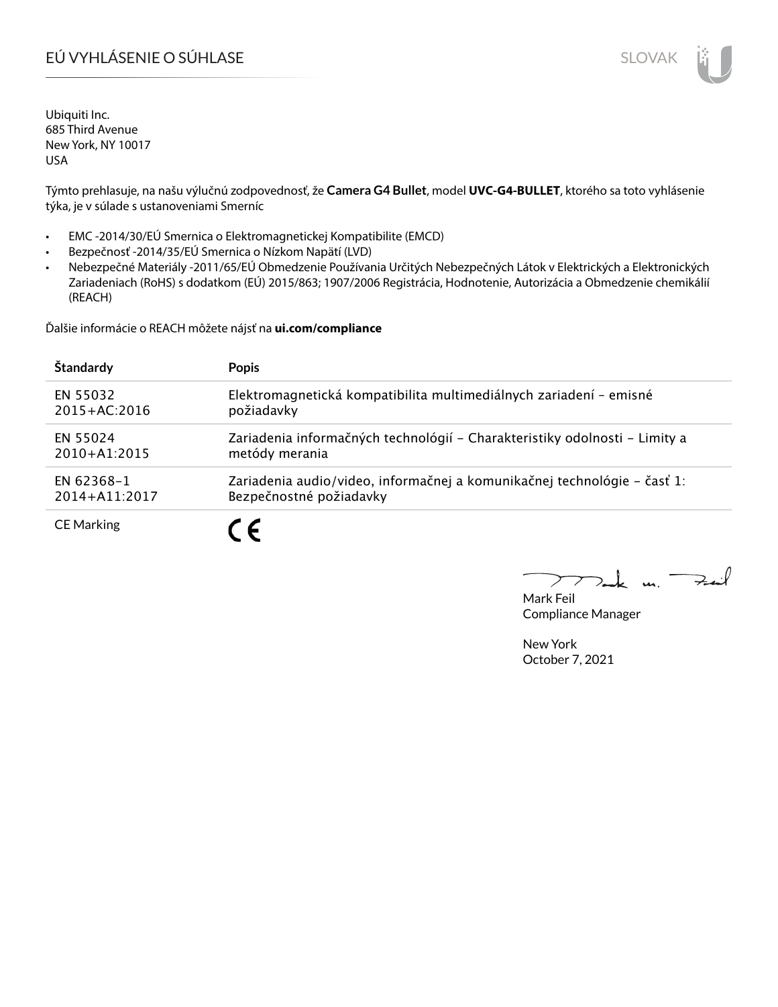# EÚ VYHLÁSENIE O SÚHLASE SLOVAK SLOVAK

Ubiquiti Inc. 685 Third Avenue New York, NY 10017 USA

Týmto prehlasuje, na našu výlučnú zodpovednosť, že **Camera G4 Bullet**, model **UVC-G4-BULLET**, ktorého sa toto vyhlásenie týka, je v súlade s ustanoveniami Smerníc

- EMC -2014/30/EÚ Smernica o Elektromagnetickej Kompatibilite (EMCD)
- Bezpečnosť -2014/35/EÚ Smernica o Nízkom Napätí (LVD)
- Nebezpečné Materiály -2011/65/EÚ Obmedzenie Používania Určitých Nebezpečných Látok v Elektrických a Elektronických Zariadeniach (RoHS) s dodatkom (EÚ) 2015/863; 1907/2006 Registrácia, Hodnotenie, Autorizácia a Obmedzenie chemikálií (REACH)

Ďalšie informácie o REACH môžete nájsť na **ui.com/compliance**

| Štandardy         | <b>Popis</b>                                                               |
|-------------------|----------------------------------------------------------------------------|
| EN 55032          | Elektromagnetická kompatibilita multimediálnych zariadení – emisné         |
| $2015 + AC:2016$  | požiadavky                                                                 |
| EN 55024          | Zariadenia informačných technológií – Charakteristiky odolnosti – Limity a |
| $2010+A1:2015$    | metódy merania                                                             |
| EN 62368-1        | Zariadenia audio/video, informačnej a komunikačnej technológie – časť 1:   |
| 2014+A11:2017     | Bezpečnostné požiadavky                                                    |
| <b>CE Marking</b> |                                                                            |

 $u_1$  Fail

Mark Feil Compliance Manager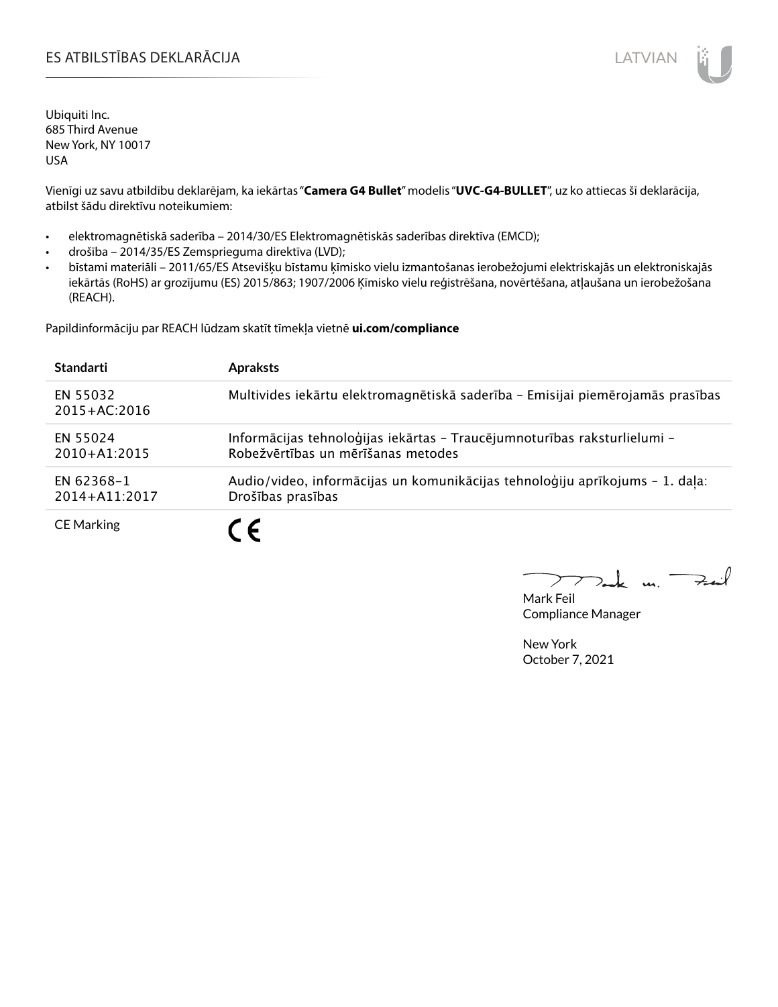# ES ATBILSTĪBAS DEKLARĀCIJA LATVIAN

Ubiquiti Inc. 685 Third Avenue New York, NY 10017 USA

Vienīgi uz savu atbildību deklarējam, ka iekārtas "**Camera G4 Bullet**" modelis "**UVC-G4-BULLET**", uz ko attiecas šī deklarācija, atbilst šādu direktīvu noteikumiem:

- elektromagnētiskā saderība 2014/30/ES Elektromagnētiskās saderības direktīva (EMCD);
- drošība 2014/35/ES Zemsprieguma direktīva (LVD);
- bīstami materiāli 2011/65/ES Atsevišķu bīstamu ķīmisko vielu izmantošanas ierobežojumi elektriskajās un elektroniskajās iekārtās (RoHS) ar grozījumu (ES) 2015/863; 1907/2006 Ķīmisko vielu reģistrēšana, novērtēšana, atļaušana un ierobežošana (REACH).

Papildinformāciju par REACH lūdzam skatīt tīmekļa vietnē **ui.com/compliance**

| <b>Standarti</b>             | <b>Apraksts</b>                                                                                                |
|------------------------------|----------------------------------------------------------------------------------------------------------------|
| EN 55032<br>$2015 + AC:2016$ | Multivides iekārtu elektromagnētiskā saderība - Emisijai piemērojamās prasības                                 |
| EN 55024<br>$2010 + A1:2015$ | Informācijas tehnoloģijas iekārtas - Traucējumnoturības raksturlielumi -<br>Robežvērtības un mērīšanas metodes |
| EN 62368-1<br>2014+A11:2017  | Audio/video, informācijas un komunikācijas tehnoloģiju aprīkojums - 1. daļa:<br>Drošības prasības              |
| <b>CE Marking</b>            | - 6                                                                                                            |

 $u_1$   $\rightarrow$ 

Mark Feil Compliance Manager